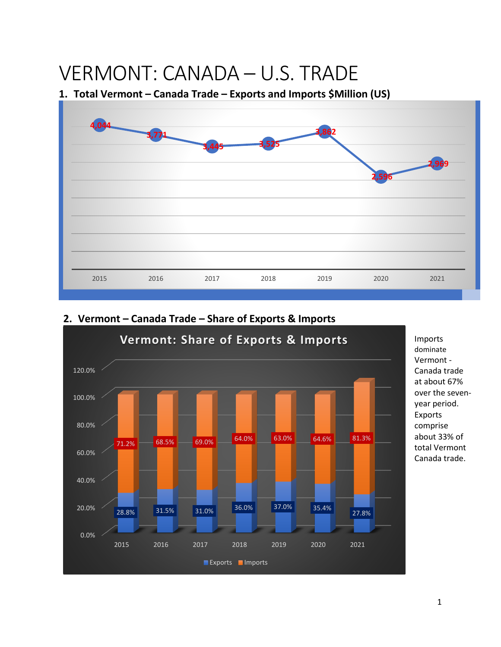# VERMONT: CANADA – U.S. TRADE

## **1. Total Vermont – Canada Trade – Exports and Imports \$Million (US)**





# **2. Vermont – Canada Trade – Share of Exports & Imports**

Imports dominate Vermont - Canada trade at about 67% over the sevenyear period. Exports comprise about 33% of total Vermont Canada trade.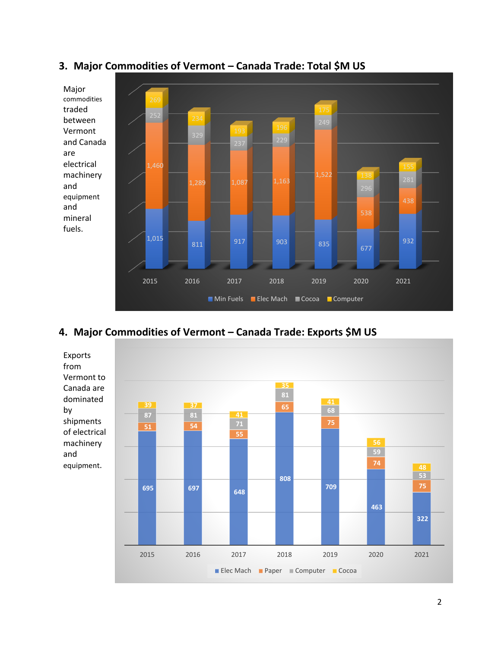

## **3. Major Commodities of Vermont – Canada Trade: Total \$M US**

## **4. Major Commodities of Vermont – Canada Trade: Exports \$M US**

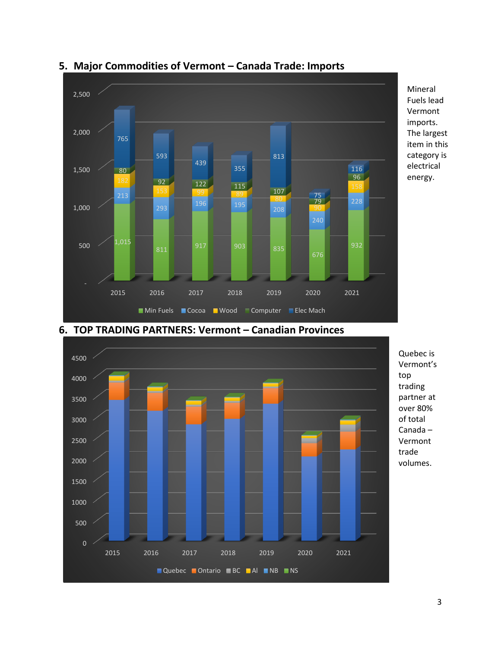

#### **5. Major Commodities of Vermont – Canada Trade: Imports**



**6. TOP TRADING PARTNERS: Vermont – Canadian Provinces**

Mineral Fuels lead Vermont imports. The largest item in this category is electrical energy.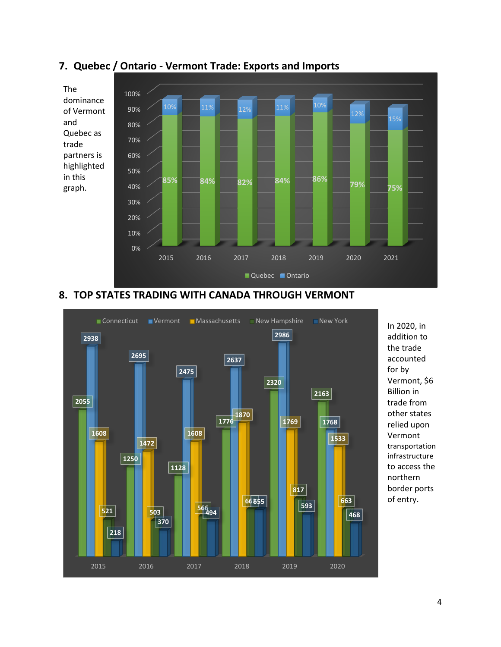

#### **7. Quebec / Ontario - Vermont Trade: Exports and Imports**

#### **8. TOP STATES TRADING WITH CANADA THROUGH VERMONT**



In 2020, in addition to the trade accounted for by Vermont, \$6 Billion in trade from other states relied upon Vermont transportation infrastructure to access the northern border ports of entry.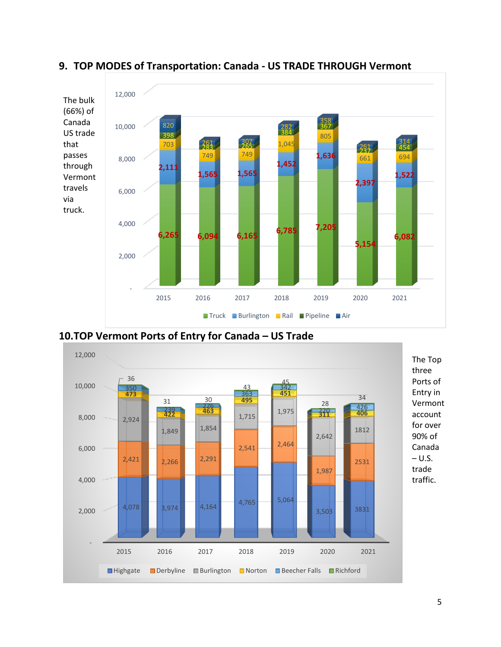

#### **9. TOP MODES of Transportation: Canada - US TRADE THROUGH Vermont**

**10.TOP Vermont Ports of Entry for Canada – US Trade**

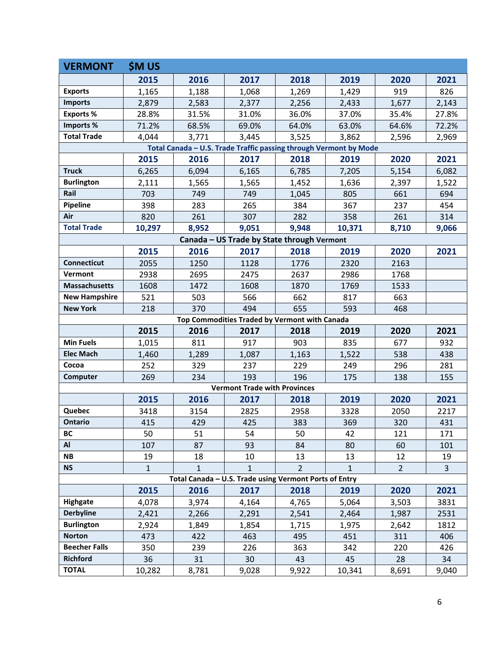| <b>VERMONT</b>                                                    | <b><i>SM US</i></b> |              |              |                |              |                |              |
|-------------------------------------------------------------------|---------------------|--------------|--------------|----------------|--------------|----------------|--------------|
|                                                                   | 2015                | 2016         | 2017         | 2018           | 2019         | 2020           | 2021         |
| <b>Exports</b>                                                    | 1,165               | 1,188        | 1,068        | 1,269          | 1,429        | 919            | 826          |
| <b>Imports</b>                                                    | 2,879               | 2,583        | 2,377        | 2,256          | 2,433        | 1,677          | 2,143        |
| <b>Exports%</b>                                                   | 28.8%               | 31.5%        | 31.0%        | 36.0%          | 37.0%        | 35.4%          | 27.8%        |
| Imports%                                                          | 71.2%               | 68.5%        | 69.0%        | 64.0%          | 63.0%        | 64.6%          | 72.2%        |
| <b>Total Trade</b>                                                | 4,044               | 3,771        | 3,445        | 3,525          | 3,862        | 2,596          | 2,969        |
| Total Canada - U.S. Trade Traffic passing through Vermont by Mode |                     |              |              |                |              |                |              |
|                                                                   | 2015                | 2016         | 2017         | 2018           | 2019         | 2020           | 2021         |
| <b>Truck</b>                                                      | 6,265               | 6,094        | 6,165        | 6,785          | 7,205        | 5,154          | 6,082        |
| <b>Burlington</b>                                                 | 2,111               | 1,565        | 1,565        | 1,452          | 1,636        | 2,397          | 1,522        |
| Rail                                                              | 703                 | 749          | 749          | 1,045          | 805          | 661            | 694          |
| Pipeline                                                          | 398                 | 283          | 265          | 384            | 367          | 237            | 454          |
| Air                                                               | 820                 | 261          | 307          | 282            | 358          | 261            | 314          |
| <b>Total Trade</b>                                                | 10,297              | 8,952        | 9,051        | 9,948          | 10,371       | 8,710          | 9,066        |
| Canada - US Trade by State through Vermont                        |                     |              |              |                |              |                |              |
|                                                                   | 2015                | 2016         | 2017         | 2018           | 2019         | 2020           | 2021         |
| <b>Connecticut</b>                                                | 2055                | 1250         | 1128         | 1776           | 2320         | 2163           |              |
| Vermont                                                           | 2938                | 2695         | 2475         | 2637           | 2986         | 1768           |              |
| <b>Massachusetts</b>                                              | 1608                | 1472         | 1608         | 1870           | 1769         | 1533           |              |
| <b>New Hampshire</b>                                              | 521                 | 503          | 566          | 662            | 817          | 663            |              |
| <b>New York</b>                                                   | 218                 | 370          | 494          | 655            | 593          | 468            |              |
| Top Commodities Traded by Vermont with Canada                     |                     |              |              |                |              |                |              |
|                                                                   | 2015                | 2016         | 2017         | 2018           | 2019         | 2020           | 2021         |
| <b>Min Fuels</b>                                                  | 1,015               | 811          | 917          | 903            | 835          | 677            | 932          |
| <b>Elec Mach</b>                                                  | 1,460               | 1,289        | 1,087        | 1,163          | 1,522        | 538            | 438          |
| Cocoa                                                             | 252                 | 329          | 237          | 229            | 249          | 296            | 281          |
| Computer                                                          | 269                 | 234          | 193          | 196            | 175          | 138            | 155          |
| <b>Vermont Trade with Provinces</b>                               |                     |              |              |                |              |                |              |
|                                                                   | 2015                | 2016         | 2017         | 2018           | 2019         | 2020           | 2021         |
| Quebec                                                            | 3418                | 3154         | 2825         | 2958           | 3328         | 2050           | 2217         |
| Ontario                                                           | 415                 | 429          | 425          | 383            | 369          | 320            | 431          |
| <b>BC</b>                                                         | 50                  | 51           | 54           | 50             | 42           | 121            | 171          |
| Al                                                                | 107                 | 87           | 93           | 84             | 80           | 60             | 101          |
| <b>NB</b>                                                         | 19                  | 18           | 10           | 13             | 13           | 12             | 19           |
| <b>NS</b>                                                         | $\mathbf{1}$        | $\mathbf{1}$ | $\mathbf{1}$ | $\overline{2}$ | $\mathbf{1}$ | $\overline{2}$ | $\mathbf{3}$ |
| Total Canada - U.S. Trade using Vermont Ports of Entry            |                     |              |              |                |              |                |              |
|                                                                   |                     |              |              |                |              |                |              |
|                                                                   | 2015                | 2016         | 2017         | 2018           | 2019         | 2020           | 2021         |
| Highgate                                                          | 4,078               | 3,974        | 4,164        | 4,765          | 5,064        | 3,503          | 3831         |
| <b>Derbyline</b>                                                  | 2,421               | 2,266        | 2,291        | 2,541          | 2,464        | 1,987          | 2531         |
| <b>Burlington</b>                                                 | 2,924               | 1,849        | 1,854        | 1,715          | 1,975        | 2,642          | 1812         |
| <b>Norton</b>                                                     | 473                 | 422          | 463          | 495            | 451          | 311            | 406          |
| <b>Beecher Falls</b>                                              | 350                 | 239          | 226          | 363            | 342          | 220            | 426          |
| <b>Richford</b><br><b>TOTAL</b>                                   | 36<br>10,282        | 31<br>8,781  | 30<br>9,028  | 43<br>9,922    | 45<br>10,341 | 28<br>8,691    | 34<br>9,040  |